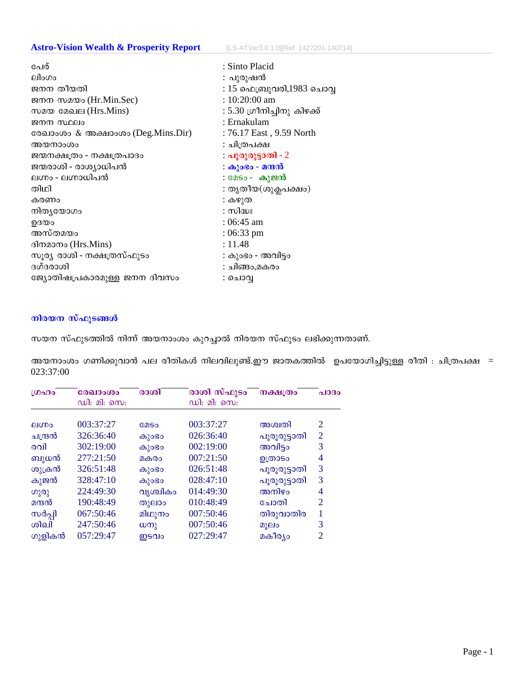# **Astro-Vision Wealth & Prosperity Report** [LS-ATVer3.0.1.0][Ref: 1427201-140714]

| പേര്                              | : Sinto Placid              |
|-----------------------------------|-----------------------------|
| ലിംഗം                             | : പുരുഷൻ                    |
| ജനന തീയതി                         | : 15 ഫെബ്രുവരി,1983 ചൊവ്വ   |
| ജനന സമയം (Hr.Min.Sec)             | : 10:20:00 am               |
| സമയ മേഖല (Hrs.Mins)               | : 5.30 ഗ്രീനിച്ചിനു കിഴക്ക് |
| ജനന സ്ഥലം                         | : Ernakulam                 |
| രേഖാംശം & അക്ഷാംശം (Deg.Mins.Dir) | : 76.17 East, 9.59 North    |
| അയനാംശം                           | : ചിത്രപക്ഷ                 |
| ജന്മനക്ഷത്രം - നക്ഷത്രപാദം        | : പൂരൂരുട്ടാതി - 2          |
| ജന്മരാശി - രാശ്യാധിപൻ             | : കുംഭം - മന്ദൻ             |
| ലഗ്നം - ലഗ്നാധിപൻ                 | : മേടം - കുജൻ               |
| തിഥി                              | : തൃതീയ(ശുക്ലപക്ഷം)         |
| കരണം                              | : കഴുത                      |
| നിതൃയോഗം                          | : സിദ്ധഃ                    |
| ഉദയം                              | : 06:45 am                  |
| അസ്തമയം                           | $:06:33$ pm                 |
| ദിനമാനം (Hrs.Mins)                | : 11.48                     |
| സൂര്യ രാശി - നക്ഷത്രസ്ഫുടം        | : കുംഭം - അവിട്ടം           |
| ദഗ്ദരാശി                          | : ചിങ്ങം,മകരം               |
| ജ്യോതിഷപ്രകാരമുള്ള ജനന ദിവസം      | : ചൊവ്വ                     |
|                                   |                             |

# നിരയന സ്ഫുടങ്ങൾ

സയന സ്ഫുടത്തിൽ നിന്ന് അയനാംശം കുറച്ചാൽ നിരയന സ്ഫുടം ലഭിക്കുന്നതാണ്.

അയനാംശം ഗണിക്കുവാൻ പല രീതികൾ നിലവിലുണ്ട്.ഈ ജാതകത്തിൽ ഉപയോഗിച്ചിട്ടുള്ള രീതി : ചിത്രപക്ഷ = 023:37:00

| LOADO   | രേഖാംശം     | രാശി                  | രാശി സ്ഫുടം | നക്ഷത്രം     | പാദം           |  |
|---------|-------------|-----------------------|-------------|--------------|----------------|--|
|         | ഡി: മി: സെ: |                       | ഡി: മി: സെ: |              |                |  |
|         |             |                       |             |              |                |  |
| elmo    | 003:37:27   | <b>COSO</b>           | 003:37:27   | അശ്വതി       | $\overline{2}$ |  |
| ചന്ദ്രൻ | 326:36:40   | കുാഭാ                 | 026:36:40   | പൂരൂരുട്ടാതി | $\overline{2}$ |  |
| രവി     | 302:19:00   | കുാഭാ                 | 002:19:00   | അവിട്ടം      | 3              |  |
| ബുധൻ    | 277:21:50   | മകരം                  | 007:21:50   | ഉത്രാടം      | 4              |  |
| ശുക്രൻ  | 326:51:48   | കുാഭാ                 | 026:51:48   | പൂരൂരുട്ടാതി | 3              |  |
| കുജൻ    | 328:47:10   | കുാഭാ                 | 028:47:10   | പൂരൂരുട്ടാതി | 3              |  |
| ഗുരു    | 224:49:30   | വൃശ്ചികം              | 014:49:30   | അനിഴം        | 4              |  |
| മന്ദൻ   | 190:48:49   | തുലാം                 | 010:48:49   | ചോതി         | $\overline{2}$ |  |
| സർപ്പി  | 067:50:46   | മിഥുനം                | 007:50:46   | തിരുവാതിര    | 1              |  |
| லிவி    | 247:50:46   | $\omega$ <sub>2</sub> | 007:50:46   | മൂലം         | 3              |  |
| ഗുളികൻ  | 057:29:47   | ഇടവം                  | 027:29:47   | മകീര്യം      | $\overline{2}$ |  |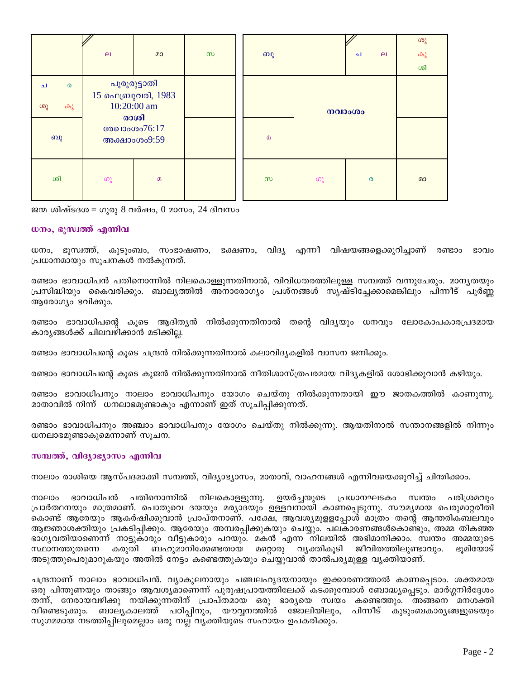|                                        | $\mathbf{p}$                                                                              | മാ       | $\infty$ | ബു       |        | ا م                   | $\Box$ | ശു<br>കു<br>ശി |
|----------------------------------------|-------------------------------------------------------------------------------------------|----------|----------|----------|--------|-----------------------|--------|----------------|
| $\boldsymbol{\omega}$<br>ച<br>ശു<br>കു | പൂരൂരുട്ടാതി<br>15 ഫെബ്രുവരി, 1983<br>10:20:00 am<br>രാശി<br>രേഖാംശം76:17<br>അക്ഷാംശം9:59 |          |          |          | നവാംശം |                       |        |                |
| ബു                                     |                                                                                           |          |          | $\Omega$ |        |                       |        |                |
| ശി                                     | ဖာ့                                                                                       | $\Omega$ |          | $\infty$ | ပာ္လ   | $\boldsymbol{\omega}$ |        | മാ             |

ജന്മ ശിഷ്ടദശ $=$  ഗുരു 8 വർഷം, 0 മാസം, 24 ദിവസം

#### ധനം, ഭൂസ്വത്ത് എന്നിവ

ധനം, ഭൂസ്വത്ത്, കുടുംബം, സംഭാഷണം, ഭക്ഷണം, വിദ്യ എന്നീ വിഷയങ്ങളെക്കുറിച്ചാണ് രണ്ടാം ഭാവം പ്രധാനമായും സുചനകൾ നൽകുന്നത്.

രണ്ടാം ഭാവാധിപൻ പതിനൊന്നിൽ നിലകൊള്ളുന്നതിനാൽ, വിവിധതരത്തിലുള്ള സമ്പത്ത് വന്നുചേരും. മാനൃതയും പ്രസിദ്ധിയും കൈവരിക്കും. ബാല്യത്തിൽ അനാരോഗ്യം പ്രശ്നങ്ങൾ സൃഷ്ടിച്ചേക്കാമെങ്കിലും പിന്നീട് പൂർണ്ണ ആരോഗ്യം ഭവിക്കും.

രണ്ടാം ഭാവാധിപന്റെ കൂടെ ആദിത്യൻ നിൽക്കുന്നതിനാൽ തന്റെ വിദ്യയും ധനവും ലോകോപകാരപ്രദമായ കാര്യങ്ങൾക്ക് ചിലവഴിക്കാൻ മടിക്കില്ല.

രണ്ടാം ഭാവാധിപന്റെ കൂടെ ചന്ദ്രൻ നിൽക്കുന്നതിനാൽ കലാവിദ്യകളിൽ വാസന ജനിക്കും.

രണ്ടാം ഭാവാധിപന്റെ കുടെ കുജൻ നിൽക്കുന്നതിനാൽ നീതിശാസ്ത്രപരമായ വിദ്യകളിൽ ശോഭിക്കുവാൻ കഴിയും.

രണ്ടാം ഭാവാധിപനും നാലാം ഭാവാധിപനും യോഗം ചെയ്തു നിൽക്കുന്നതായി ഈ ജാതകത്തിൽ കാണുന്നു. മാതാവിൽ നിന്ന് ധനലാഭമുണ്ടാകും എന്നാണ് ഇത് സൂചിപ്പിക്കുന്നത്.

രണ്ടാം ഭാവാധിപനും അഞ്ചാം ഭാവാധിപനും യോഗം ചെയ്തു നിൽക്കുന്നു. ആയതിനാൽ സന്താനങ്ങളിൽ നിന്നും ധനലാഭമുണ്ടാകുമെന്നാണ് സൂചന.

## സമ്പത്ത്, വിദ്യാഭ്യാസം എന്നിവ

നാലാം രാശിയെ ആസ്പദമാക്കി സമ്പത്ത്, വിദ്യാഭ്യാസം, മാതാവ്, വാഹനങ്ങൾ എന്നിവയെക്കുറിച്ച് ചിന്തിക്കാം.

ഭാവാധിപൻ പതിനൊന്നിൽ നിലകൊളളുന്നു. ഉയർച്ചയുടെ പ്രധാനഘടകം സ്വന്തം നാലാം പരിശ്രമവും പ്രാർത്ഥനയും മാത്രമാണ്. പൊതുവെ ദയയും മര്യാദയും ഉള്ളവനായി കാണപ്പെടുന്നു. സൗമ്യമായ പെരുമാറ്റരീതി കൊണ്ട് ആരേയും ആകർഷിക്കുവാൻ പ്രാപ്തനാണ്. പക്ഷേ, ആവശ്യമുളളപ്പോൾ മാത്രം തന്റെ ആന്തരികബലവും ആജ്ഞാശക്തിയും പ്രകടിപ്പിക്കും. ആരേയും അമ്പരപ്പിക്കുകയും ചെയ്യും. പലകാരണങ്ങൾകൊണ്ടും, അമ്മ തികഞ്ഞ ഭാഗ്യവതിയാണെന്ന് നാട്ടുകാരും വീട്ടുകാരും പറയും. മകൻ എന്ന നിലയിൽ അഭിമാനിക്കാം. സ്വന്തം അമ്മയുടെ കരുതി ബഹുമാനിക്കേണ്ടതായ മറ്റൊരു സ്ഥാനത്തുതന്നെ വ്യക്തികൂടി ജീവിതത്തിലുണ്ടാവും. ഭൂമിയോട് അടുത്തുപെരുമാറുകയും അതിൽ നേട്ടം കണ്ടെത്തുകയും ചെയ്യുവാൻ താൽപര്യമുള്ള വൃക്തിയാണ്.

ചന്ദ്രനാണ് നാലാം ഭാവാധിപൻ. വ്യാകുലനായും ചഞ്ചലഹൃദയനായും ഇക്കാരണത്താൽ കാണപ്പെടാം. ശക്തമായ ഒരു പിന്തുണയും താങ്ങും ആവശ്യമാണെന്ന് പുരുഷപ്രായത്തിലേക്ക് കടക്കുമ്പോൾ ബോദ്ധ്യപ്പെടും. മാർഗ്ഗനിർദ്ദേശം തന്ന്, നേരായവഴിക്കു നയിക്കുന്നതിന് പ്രാപ്തമായ ഒരു ഭാരൃയെ സ്വയം കണ്ടെത്തും. അങ്ങനെ മനശക്തി വീണ്ടെടുക്കും. ബാല്യകാലത്ത് പഠിപ്പിനും, യൗവ്വനത്തിൽ ജോലിയിലും, പിന്നീട് കുടുംബകാര്യങ്ങളുടെയും സുഗമമായ നടത്തിപ്പിലുമെല്ലാം ഒരു നല്ല വ്യക്തിയുടെ സഹായം ഉപകരിക്കും.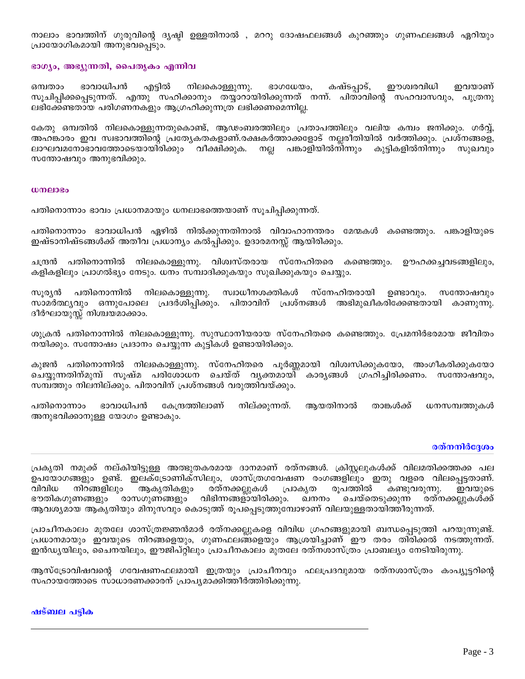നാലാം ഭാവത്തിന് ഗുരുവിന്റെ ദൃഷ്ഠി ഉള്ളതിനാൽ , മററു ദോഷഫലങ്ങൾ കുറഞ്ഞും ഗുണഫലങ്ങൾ ഏറിയും പ്രായോഗികമായി അനുഭവപ്പെടും.

### ഭാഗ്യം, അഭ്യുന്നതി, പൈതൃകം എന്നിവ

ഭാവാധിപൻ എട്ടിൽ നിലകൊള്ളുന്നു. ഭാഗധേയം, കഷ്ടപ്പാട്, ഈശ്വരവിധി ഇവയാണ് ഒമ്പതാം സൂചിപ്പിക്കപ്പെടുന്നത്. എന്തു സഹിക്കാനും തയ്യാറായിരിക്കുന്നത് നന്ന്. പിതാവിന്റെ സഹവാസവും, പുത്രനു ലഭിക്കേണ്ടതായ പരിഗണനകളും ആഗ്രഹിക്കുന്നത്ര ലഭിക്കണമെന്നില്ല.

കേതു ഒമ്പതിൽ നിലകൊള്ളുന്നതുകൊണ്ട്, ആഢംബരത്തിലും പ്രതാപത്തിലും വലിയ കമ്പം ജനിക്കും. ഗർവ്വ്, അഹങ്കാരം ഇവ സ്വഭാവത്തിന്റെ പ്രത്യേകതകളാണ്.രക്ഷകർത്താക്കളോട് നല്ലരീതിയിൽ വർത്തിക്കും. പ്രശ്നങ്ങളെ, ലാഘവമനോഭാവത്തോടെയായിരിക്കും വീക്ഷിക്കുക. നല്ല പങ്കാളിയിൽനിന്നും കുട്ടികളിൽനിന്നും സുഖവും സതോഷവും അനുഭവിക്കും.

#### ധനലാഭം

പതിനൊന്നാം ഭാവം പ്രധാനമായും ധനലാഭത്തെയാണ് സൂചിപ്പിക്കുന്നത്.

പതിനൊന്നാം ഭാവാധിപൻ ഏഴിൽ നിൽക്കുന്നതിനാൽ വിവാഹാനന്തരം മേന്മകൾ കണ്ടെത്തും. പങ്കാളിയുടെ ഇഷ്ടാനിഷ്ടങ്ങൾക്ക് അതീവ പ്രധാന്യം കൽപ്പിക്കും. ഉദാരമനസ്സ് ആയിരിക്കും.

ചന്ദ്രൻ പതിനൊന്നിൽ നിലകൊള്ളുന്നു. വിശ്വസ്തരായ സ്നേഹിതരെ കണ്ടെത്തും. ഊഹക്കച്ചവടങ്ങളിലും, കളികളിലും പ്രാഗൽഭ്യം നേടും. ധനം സമ്പാദിക്കുകയും സുഖിക്കുകയും ചെയ്യും.

പതിനൊന്നിൽ നിലകൊള്ളുന്നു. സ്വാധീനശക്തികൾ സ്നേഹിതരായി സൂര്യൻ ഉണ്ടാവും. സന്തോഷവും സാമർത്ഥ്യവും ഒന്നുപോലെ പ്രദർശിപ്പിക്കും. പിതാവിന് പ്രശ്നങ്ങൾ അഭിമുഖീകരിക്കേണ്ടതായി കാണുന്നു. ദീർഘായുസ്സ് നിശ്ചയമാക്കാം.

ശുക്രൻ പതിനൊന്നിൽ നിലകൊള്ളുന്നു. സുസ്ഥാനീയരായ സ്നേഹിതരെ കണ്ടെത്തും. പ്രേമനിർഭരമായ ജീവിതം നയിക്കും. സന്തോഷം പ്രദാനം ചെയ്യുന്ന കുട്ടികൾ ഉണ്ടായിരിക്കും.

കുജൻ പതിനൊന്നിൽ നിലകൊള്ളുന്നു. സ്നേഹിതരെ പൂർണ്ണമായി വിശ്വസിക്കുകയോ, അംഗീകരിക്കുകയോ ചെയ്യുന്നതിന്മുമ്പ് സൂഷ്മ പരിശോധന ചെയ്ത് വൃക്തമായി് കാരൃങ്ങൾ ഗ്രഹിച്ചിരിക്കണം. സന്തോഷവും, സമ്പത്തും നിലനില്ക്കും. പിതാവിന് പ്രശ്നങ്ങൾ വരുത്തിവയ്ക്കും.

പതിനൊന്നാം നില്ക്കുന്നത്. ഭാവാധിപൻ കേന്ദ്രത്തിലാണ് ആയതിനാൽ താങ്കൾക്ക് ധനസമ്പത്തുകൾ അനുഭവിക്കാനുള്ള യോഗം ഉണ്ടാകും.

## രത്നനിർദ്ദേശം

പ്രകൃതി നമുക്ക് നല്കിയിട്ടുള്ള അത്ഭുതകരമായ ദാനമാണ് രത്നങ്ങൾ. ക്രിസ്റ്റലുകൾക്ക് വിലമതിക്കത്തക്ക പല ഉപയോഗങ്ങളും ഉണ്ട്. ഇലക്ട്രോണിക്സിലും, ശാസ്ത്രഗവേഷണ രംഗങ്ങളിലും ഇതു വളരെ വിലപ്പെട്ടതാണ്. നിറങ്ങളിലും ആകൃതികളും രത്നക്കല്ലുകൾ പ്രാകൃത രുപത്തിൽ കണ്ടുവരുന്നു. വിവിധ ഇവയുടെ ഭൗതികഗുണങ്ങളും രാസഗുണങ്ങളും വിഭിന്നങ്ങളായിരിക്കും. ഖനനം ചെയ്തെടുക്കുന്ന രത്നക്കല്ലുകൾക്ക് ആവശ്യമായ ആകൃതിയും മിനുസവും കൊടുത്ത് രൂപപ്പെടുത്തുമ്പോഴാണ് വിലയുള്ളതായിത്തീരുന്നത്.

പ്രാചീനകാലം മുതലേ ശാസ്ത്രജ്ഞൻമാർ രത്നക്കല്ലുകളെ വിവിധ ഗ്രഹങ്ങളുമായി ബന്ധപ്പെടുത്തി പറയുന്നുണ്ട്. പ്രധാനമായും ഇവയുടെ നിറങ്ങളെയും, ഗുണഫലങ്ങളെയും ആശ്രയിച്ചാണ് ഈ തരം തിരിക്കൽ നടത്തുന്നത്. ഇൻഡ്യയിലും, ചൈനയിലും, ഈജിപ്റ്റിലും പ്രാചീനകാലം മുതലേ രത്നശാസ്ത്രം പ്രാബല്യം നേടിയിരുന്നു.

ആസ്ട്രോവിഷവന്റെ ഗവേഷണഫലമായി ഇത്രയും പ്രാചീനവും ഫലപ്രദവുമായ രത്നശാസ്ത്രം കംപ്യൂട്ടറിന്റെ സഹായത്തോടെ സാധാരണക്കാരന് പ്രാപ്യമാക്കിത്തീർത്തിരിക്കുന്നു.

#### ഷട്ബല പട്ടിക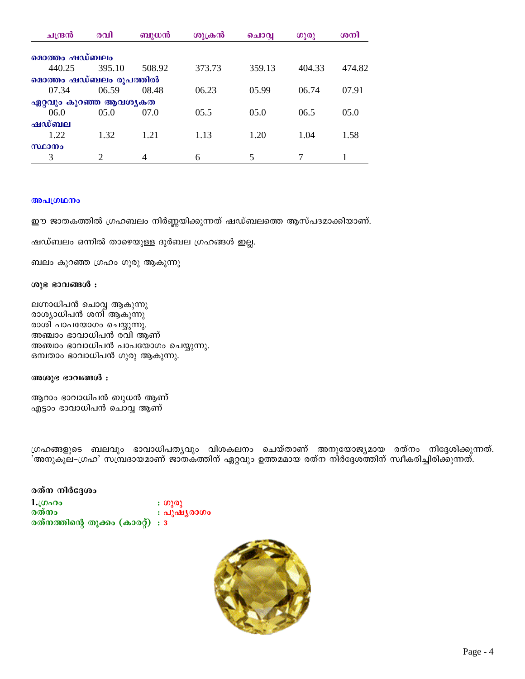| ചന്ദ്രൻ       | രവി                    | ബുധൻ   | ശുക്രൻ | ചൊവ്വ  | ഗുരു   | ശനി    |  |
|---------------|------------------------|--------|--------|--------|--------|--------|--|
|               |                        |        |        |        |        |        |  |
| മൊത്തം ഷഡ്ബലം |                        |        |        |        |        |        |  |
| 440.25        | 395.10                 | 508.92 | 373.73 | 359.13 | 404.33 | 474.82 |  |
|               | മൊത്തം ഷഡ്ബലം രൂപത്തിൽ |        |        |        |        |        |  |
| 07.34         | 06.59                  | 08.48  | 06.23  | 05.99  | 06.74  | 07.91  |  |
|               | ഏറ്റവും കുറഞ്ഞ ആവശ്യകത |        |        |        |        |        |  |
| 06.0          | 05.0                   | 07.0   | 05.5   | 05.0   | 06.5   | 05.0   |  |
| ഷഡ്ബല         |                        |        |        |        |        |        |  |
| 1.22          | 1.32                   | 1.21   | 1.13   | 1.20   | 1.04   | 1.58   |  |
| സ്ഥാനം        |                        |        |        |        |        |        |  |
| 3             | $\overline{c}$         | 4      | 6      | 5      |        |        |  |

### **B**al(01000

ഈ ജാതകത്തിൽ ഗ്രഹബലം നിർണ്ണയിക്കുന്നത് ഷഡ്ബലത്തെ ആസ്പദമാക്കിയാണ്.

ഷഡ്ബലം ഒന്നിൽ താഴെയുള്ള ദുർബല ഗ്രഹങ്ങൾ ഇല്ല.

ബലം കുറഞ്ഞ ഗ്രഹം ഗുരു ആകുന്നു

### ശുഭ ഭാവങ്ങൾ **:**

ലഗ്നാധിപൻ ചൊവ്വ ആകുന്നു രാശ്യാധിപൻ ശനി ആകുന്നു രാശി പാപയോഗം ചെയ്യുന്നു. അഞ്ചാം ഭാവാധിപൻ രവി ആണ് അഞ്ചാം ഭാവാധിപൻ പാപയോഗം ചെയ്യുന്നു. ഒമ്പതാം ഭാവാധിപൻ ഗുരു ആകുന്നു.

അശുഭ ഭാവങ്ങൾ :

ആറാം ഭാവാധിപൻ ബുധൻ ആണ് എട്ടാം ഭാവാധിപൻ ചൊവ്വ ആണ്

്രഹങ്ങളുടെ ബലവും ഭാവാധിപതൃവും വിശകലനം ചെയ്താണ് അനുയോജ്യമായ രത്നം നിദ്ദേശിക്കുന്നത്. 'അനുകൂല–ഗ്രഹ' സമ്പ്രദായമാണ് ജാതകത്തിന് ഏറ്റവും ഉത്തമമായ രത്ന നിർദ്ദേശത്തിന് സ്വീകരിച്ചിരിക്കുന്നത്.

### **c** and  $\alpha$  of  $\alpha$  of  $\alpha$

1.ഗ്രഹം : ഗുരു<br>രത്നം : പുഷ <mark>: പുഷൃ</mark>രാഗം രത്നത്തിന്റെ തൂക്കം (കാരറ്റ്) : 3

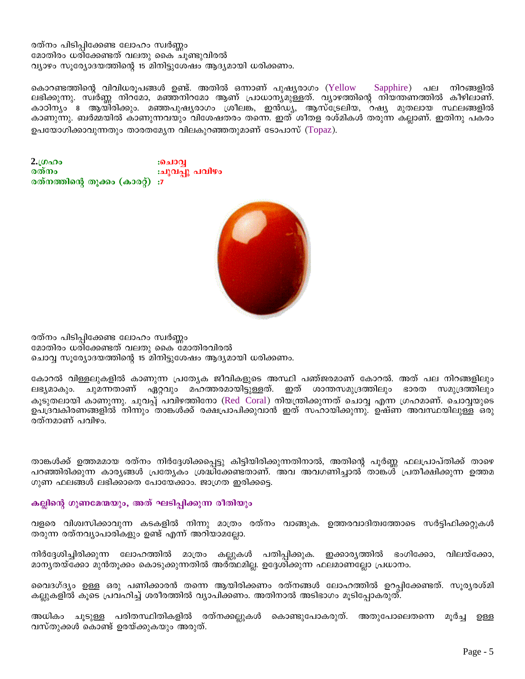## രത്നം പിടിപ്പിക്കേണ്ട ലോഹം സ്വർണ്ണം മോതിരം ധരിക്കേണ്ടത് വലതു കൈ ചൂണ്ടുവിരൽ വ്യാഴം സൂര്യോദയത്തിന്റെ 15 മിനിട്ടുശേഷം ആദ്യമായി ധരിക്കണം.

കൊറണ്ടത്തിന്റെ വിവിധരൂപങ്ങൾ ഉണ്ട്. അതിൽ ഒന്നാണ് പുഷ്യരാഗം (Yellow Sapphire) പല നിറങ്ങളിൽ ലഭിക്കുന്നു. സ്ഥർണ്ണ നിറമോ, മഞ്ഞനിറമോ ആണ് പ്രാധാനൃമുള്ളത്. വ്യാഴത്തിന്റെ നിയന്തണത്തിൽ കീഴിലാണ്. കാഠിന്യം ദ ആയ്ി്രിക്കും. മഞ്ഞപുഷ്യരാഗം ശ്രീലങ്ക, ഇൻഡ്യ, ആസ്ട്രേലിയ, റഷ്യ മുതലായ സ്ഥലങ്ങളിൽ കാണുന്നു. ബർമ്മയിൽ കാണുന്നവയും വിശേഷതരം തന്നെ. ഇത് ശീതള രശ്മികൾ തരുന്ന കല്ലാണ്. ഇതിനു പകരം ഉപയോഗിക്കാവുന്നതും താരതമ്യേന വിലകുറഞ്ഞതുമാണ് ടോപാസ് (Topaz).

2. $\omega_{\alpha}$ :ചൊവ :ചുവപ്പു പവിഴം രത്നം രത്നത്തിന്റെ തുക്കം (കാരറ്റ്) :7



രത്നം പിടിപ്പിക്കേണ്ട ലോഹം സ്വർണ്ണം മോതിരം ധരിക്കേണ്ടത് വലതു കൈ മോതിരവിരൽ ചൊവ്വ സൂര്യോദയത്തിന്റെ 15 മിനിട്ടുശേഷം ആദ്യമായി ധരിക്കണം.

കോറൽ വിള്ളലുകളിൽ കാണുന്ന പ്രത്യേക ജീവികളുടെ അസ്ഥി പഞ്ജരമാണ് കോറൽ. അത് പല നിറങ്ങളിലും ചുമന്നതാണ് ഏറ്റവും മഹത്തരമായിട്ടുള്ളത്. ഇത് ശാന്തസമുദ്രത്തിലും ഭാരത സമുദ്രത്തിലും ലഭ്യമാകും. കൂടുതലായി കാണുന്നു. ചുവപ്പ് പവിഴത്തിനോ (Red Coral) നിയന്ത്രിക്കുന്നത് ചൊവ്വ എന്ന ഗ്രഹമാണ്. ചൊവ്വയുടെ ഉപദ്രവകിരണങ്ങളിൽ നിന്നും താങ്കൾക്ക് രക്ഷപ്രാപിക്കുവാൻ ഇത് സഹായിക്കുന്നു. ഉഷ്ണ അവസ്ഥയിലുള്ള ഒരു രത്നമാണ് പവിഴം.

താങ്കൾക്ക് ഉത്തമമായ രത്നം നിർദ്ദേശിക്കപ്പെട്ടു കിട്ടിയിരിക്കുന്നതിനാൽ, അതിന്റെ പൂർണ്ണ ഫലപ്രാപ്തിക്ക് താഴെ പറഞ്ഞിരിക്കുന്ന കാര്യങ്ങൾ പ്രത്യേകം ശ്രദ്ധിക്കേണ്ടതാണ്. അവ അവഗണിച്ചാൽ താങ്കൾ പ്രതീക്ഷിക്കുന്ന ഉത്തമ ഗുണ ഫലങ്ങൾ ലഭിക്കാതെ പോയേക്കാം. ജാഗ്രത ഇരിക്കട്ടെ.

# കല്ലിന്റെ ഗുണമേന്മയും, അത് ഘടിപ്പിക്കുന്ന രീതിയും

വളരെ വിശ്വസിക്കാവുന്ന കടകളിൽ നിന്നു മാത്രം രത്നം വാങ്ങുക. ഉത്തരവാദിത്വത്തോടെ സർട്ടിഫിക്കറ്റുകൾ തരുന്ന രത്നവ്യാപാരികളും ഉണ്ട് എന്ന് അറിയാമല്ലോ.

നിർദ്ദേശിച്ചിരിക്കുന്ന ലോഹത്തിൽ മാത്രം കല്ലുകൾ പതിപ്പിക്കുക. ഇക്കാര്യത്തിൽ ഭംഗിക്കോ, വിലയ്ക്കോ, മാനൃതയ്ക്കോ മുൻതൂക്കം കൊടുക്കുന്നതിൽ അർത്ഥമില്ല. ഉദ്ദേശിക്കുന്ന ഫലമാണല്ലോ പ്രധാനം.

വൈദഗ്ദ്യം ഉള്ള ഒരു പണിക്കാരൻ തന്നെ ആയിരിക്കണം രത്നങ്ങൾ ലോഹത്തിൽ ഉറപ്പിക്കേണ്ടത്. സൂര്യരശ്മി കല്ലുകളിൽ കൂടെ പ്രവഹിച്ച് ശരീരത്തിൽ വ്യാപിക്കണം. അതിനാൽ അടിഭാഗം മൂടിപ്പോകരുത്.

അധികം ചൂടുള്ള പരിതസ്ഥിതികളിൽ രത്നക്കല്ലുകൾ കൊണ്ടുപോകരുത്. അതുപോലെതന്നെ മൂർച്ച ഉള്ള വസ്തുക്കൾ കൊണ്ട് ഉരയ്ക്കുകയും അരുത്.